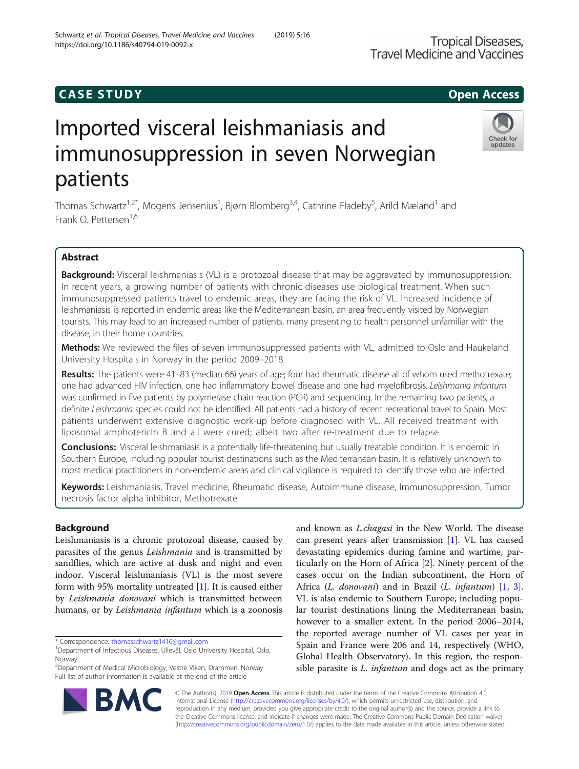## **CASE STUDY CASE STUDY Open Access**

# Imported visceral leishmaniasis and immunosuppression in seven Norwegian patients

Thomas Schwartz<sup>1,2\*</sup>, Mogens Jensenius<sup>1</sup>, Bjørn Blomberg<sup>3,4</sup>, Cathrine Fladeby<sup>5</sup>, Arild Mæland<sup>1</sup> and Frank O. Pettersen<sup>1,6</sup>

## Abstract

Background: Visceral leishmaniasis (VL) is a protozoal disease that may be aggravated by immunosuppression. In recent years, a growing number of patients with chronic diseases use biological treatment. When such immunosuppressed patients travel to endemic areas, they are facing the risk of VL. Increased incidence of leishmaniasis is reported in endemic areas like the Mediterranean basin, an area frequently visited by Norwegian tourists. This may lead to an increased number of patients, many presenting to health personnel unfamiliar with the disease, in their home countries.

Methods: We reviewed the files of seven immunosuppressed patients with VL, admitted to Oslo and Haukeland University Hospitals in Norway in the period 2009–2018.

Results: The patients were 41–83 (median 66) years of age; four had rheumatic disease all of whom used methotrexate; one had advanced HIV infection, one had inflammatory bowel disease and one had myelofibrosis. Leishmania infantum was confirmed in five patients by polymerase chain reaction (PCR) and sequencing. In the remaining two patients, a definite Leishmania species could not be identified. All patients had a history of recent recreational travel to Spain. Most patients underwent extensive diagnostic work-up before diagnosed with VL. All received treatment with liposomal amphotericin B and all were cured; albeit two after re-treatment due to relapse.

**Conclusions:** Visceral leishmaniasis is a potentially life-threatening but usually treatable condition. It is endemic in Southern Europe, including popular tourist destinations such as the Mediterranean basin. It is relatively unknown to most medical practitioners in non-endemic areas and clinical vigilance is required to identify those who are infected.

Keywords: Leishmaniasis, Travel medicine, Rheumatic disease, Autoimmune disease, Immunosuppression, Tumor necrosis factor alpha inhibitor, Methotrexate

## Background

Leishmaniasis is a chronic protozoal disease, caused by parasites of the genus Leishmania and is transmitted by sandflies, which are active at dusk and night and even indoor. Visceral leishmaniasis (VL) is the most severe form with 95% mortality untreated  $[1]$ . It is caused either by Leishmania donovani which is transmitted between humans, or by Leishmania infantum which is a zoonosis

\* Correspondence: [thomasschwartz1410@gmail.com](mailto:thomasschwartz1410@gmail.com) <sup>1</sup>

2 Department of Medical Microbiology, Vestre Viken, Drammen, Norway Full list of author information is available at the end of the article

Global Health Observatory). In this region, the responsible parasite is *L. infantum* and dogs act as the primary © The Author(s). 2019 Open Access This article is distributed under the terms of the Creative Commons Attribution 4.0 International License [\(http://creativecommons.org/licenses/by/4.0/](http://creativecommons.org/licenses/by/4.0/)), which permits unrestricted use, distribution, and reproduction in any medium, provided you give appropriate credit to the original author(s) and the source, provide a link to the Creative Commons license, and indicate if changes were made. The Creative Commons Public Domain Dedication waiver [\(http://creativecommons.org/publicdomain/zero/1.0/](http://creativecommons.org/publicdomain/zero/1.0/)) applies to the data made available in this article, unless otherwise stated.

and known as L.chagasi in the New World. The disease can present years after transmission [\[1\]](#page-5-0). VL has caused devastating epidemics during famine and wartime, particularly on the Horn of Africa [\[2](#page-5-0)]. Ninety percent of the cases occur on the Indian subcontinent, the Horn of Africa (L. donovani) and in Brazil (L. infantum)  $[1, 3]$  $[1, 3]$  $[1, 3]$  $[1, 3]$  $[1, 3]$ . VL is also endemic to Southern Europe, including popular tourist destinations lining the Mediterranean basin, however to a smaller extent. In the period 2006–2014, the reported average number of VL cases per year in Spain and France were 206 and 14, respectively (WHO,





<sup>&</sup>lt;sup>1</sup>Department of Infectious Diseases, Ullevål, Oslo University Hospital, Oslo, Norway

Schwartz et al. Tropical Diseases, Travel Medicine and Vaccines (2019) 5:16 https://doi.org/10.1186/s40794-019-0092-x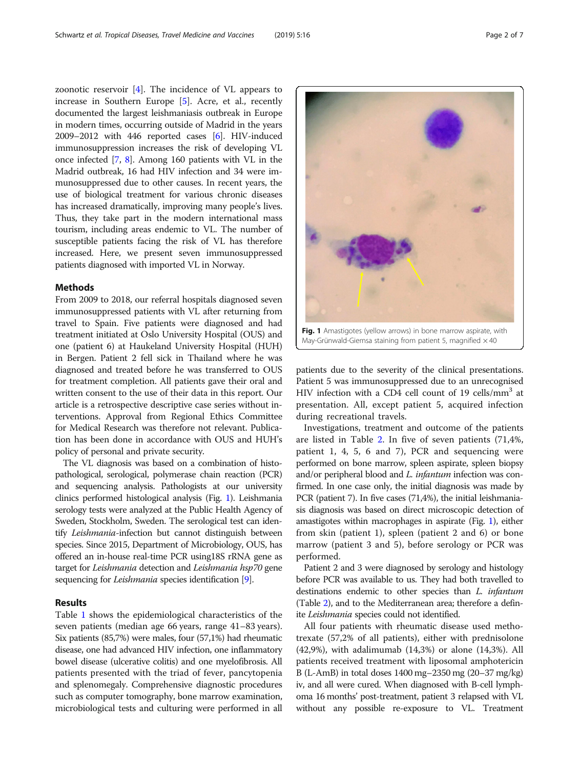zoonotic reservoir [[4](#page-5-0)]. The incidence of VL appears to increase in Southern Europe [[5](#page-5-0)]. Acre, et al., recently documented the largest leishmaniasis outbreak in Europe in modern times, occurring outside of Madrid in the years 2009–2012 with 446 reported cases [[6](#page-5-0)]. HIV-induced immunosuppression increases the risk of developing VL once infected [\[7,](#page-5-0) [8](#page-5-0)]. Among 160 patients with VL in the Madrid outbreak, 16 had HIV infection and 34 were immunosuppressed due to other causes. In recent years, the use of biological treatment for various chronic diseases has increased dramatically, improving many people's lives. Thus, they take part in the modern international mass tourism, including areas endemic to VL. The number of susceptible patients facing the risk of VL has therefore increased. Here, we present seven immunosuppressed patients diagnosed with imported VL in Norway.

#### Methods

From 2009 to 2018, our referral hospitals diagnosed seven immunosuppressed patients with VL after returning from travel to Spain. Five patients were diagnosed and had treatment initiated at Oslo University Hospital (OUS) and one (patient 6) at Haukeland University Hospital (HUH) in Bergen. Patient 2 fell sick in Thailand where he was diagnosed and treated before he was transferred to OUS for treatment completion. All patients gave their oral and written consent to the use of their data in this report. Our article is a retrospective descriptive case series without interventions. Approval from Regional Ethics Committee for Medical Research was therefore not relevant. Publication has been done in accordance with OUS and HUH's policy of personal and private security.

The VL diagnosis was based on a combination of histopathological, serological, polymerase chain reaction (PCR) and sequencing analysis. Pathologists at our university clinics performed histological analysis (Fig. 1). Leishmania serology tests were analyzed at the Public Health Agency of Sweden, Stockholm, Sweden. The serological test can identify Leishmania-infection but cannot distinguish between species. Since 2015, Department of Microbiology, OUS, has offered an in-house real-time PCR using18S rRNA gene as target for Leishmania detection and Leishmania hsp70 gene sequencing for *Leishmania* species identification [\[9](#page-5-0)].

### Results

Table [1](#page-2-0) shows the epidemiological characteristics of the seven patients (median age 66 years, range 41–83 years). Six patients (85,7%) were males, four (57,1%) had rheumatic disease, one had advanced HIV infection, one inflammatory bowel disease (ulcerative colitis) and one myelofibrosis. All patients presented with the triad of fever, pancytopenia and splenomegaly. Comprehensive diagnostic procedures such as computer tomography, bone marrow examination, microbiological tests and culturing were performed in all



patients due to the severity of the clinical presentations. Patient 5 was immunosuppressed due to an unrecognised HIV infection with a CD4 cell count of 19 cells/ $mm<sup>3</sup>$  at presentation. All, except patient 5, acquired infection during recreational travels.

Investigations, treatment and outcome of the patients are listed in Table [2.](#page-3-0) In five of seven patients (71,4%, patient 1, 4, 5, 6 and 7), PCR and sequencing were performed on bone marrow, spleen aspirate, spleen biopsy and/or peripheral blood and *L. infantum* infection was confirmed. In one case only, the initial diagnosis was made by PCR (patient 7). In five cases (71,4%), the initial leishmaniasis diagnosis was based on direct microscopic detection of amastigotes within macrophages in aspirate (Fig. 1), either from skin (patient 1), spleen (patient 2 and 6) or bone marrow (patient 3 and 5), before serology or PCR was performed.

Patient 2 and 3 were diagnosed by serology and histology before PCR was available to us. They had both travelled to destinations endemic to other species than *L. infantum* (Table [2](#page-3-0)), and to the Mediterranean area; therefore a definite Leishmania species could not identified.

All four patients with rheumatic disease used methotrexate (57,2% of all patients), either with prednisolone (42,9%), with adalimumab (14,3%) or alone (14,3%). All patients received treatment with liposomal amphotericin B (L-AmB) in total doses 1400 mg–2350 mg (20–37 mg/kg) iv, and all were cured. When diagnosed with B-cell lymphoma 16 months' post-treatment, patient 3 relapsed with VL without any possible re-exposure to VL. Treatment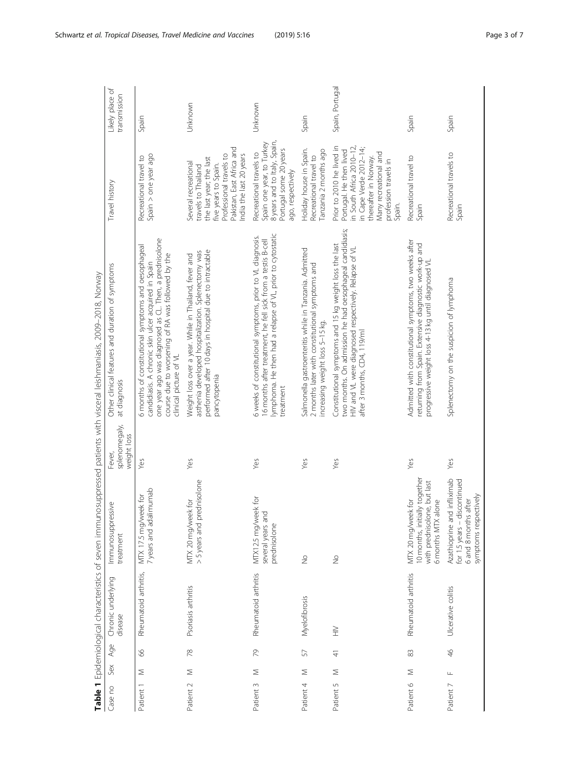<span id="page-2-0"></span>

|           |          |               |                               |                                                                                                                 |                                        | Table 1 Epidemiological characteristics of seven immunosuppressed patients with visceral leishmaniasis, 2009-2018, Norway                                                                                                                           |                                                                                                                                                                                                 |                                 |
|-----------|----------|---------------|-------------------------------|-----------------------------------------------------------------------------------------------------------------|----------------------------------------|-----------------------------------------------------------------------------------------------------------------------------------------------------------------------------------------------------------------------------------------------------|-------------------------------------------------------------------------------------------------------------------------------------------------------------------------------------------------|---------------------------------|
| Case no   | Sex      | Age           | Chronic underlying<br>disease | Immunosuppressive<br>treatment                                                                                  | splenomegaly,<br>weight loss<br>Fever, | Other clinical features and duration of symptoms<br>at diagnosis                                                                                                                                                                                    | Travel history                                                                                                                                                                                  | Likely place of<br>transmission |
| Patient   | Σ        | 8             | Rheumatoid arthritis,         | 7 years and adalimumab<br>MTX 17.5 mg/week for                                                                  | Yes                                    | one year ago was diagnosed as CL. Then, a prednisolone<br>6 months of constitutional symptoms and oesophageal<br>course due to worsening of RA was followed by the<br>candidiasis. A chronic skin ulcer acquired in Spain<br>clinical picture of VL | Spain > one year ago<br>Recreational travel to                                                                                                                                                  | Spain                           |
| Patient 2 | Σ        | 78            | Psoriasis arthritis           | > 5 years and prednisolone<br>MTX 20 mg/week for                                                                | Yes                                    | performed after 10 days in hospital due to intractable<br>asthenia developed hospitalization. Splenectomy was<br>Weight loss over a year. While in Thailand, fever and<br>pancytopenia                                                              | Pakistan, East Africa and<br>Professional travels to<br>India the last 20 years<br>the last year; the last<br>Several recreational<br>five years to Spain.<br>travels to Thailand               | Unknown                         |
| Patient 3 | Σ        | 29            | Rheumatoid arthritis          | MTX12.5 mg/week for<br>several years and<br>prednisolone                                                        | Yes                                    | lymphoma. He then had a relapse of VL, prior to cytostatic<br>6 weeks of constitutional symptoms, prior to VL diagnosis.<br>I6 months after treatment, he fell sick from a testis B-cell<br>treatment                                               | 8 years and to Italy, Spain,<br>Spain one year, to Turkey<br>Portugal some 20 years<br>Recreational travels to<br>ago, respectively                                                             | Unknown                         |
| Patient 4 | Σ        | 57            | Myelofibrosis                 | $\frac{1}{2}$                                                                                                   | Yes                                    | Salmonella gastroenteritis while in Tanzania. Admitted<br>2 months later with constitutional symptoms and<br>increasing weight loss 5-15 kg.                                                                                                        | Holiday house in Spain.<br>Tanzania 2 months ago<br>Recreational travel to                                                                                                                      | Spain                           |
| Patient 5 | Σ        | $\frac{4}{3}$ | $\geqq$                       | $\frac{1}{2}$                                                                                                   | Yes                                    | two months. On admission he had oesophageal candidiasis;<br>Constitutional symptoms and 15 kg weight loss the last<br>HIV and VL were diagnosed respectively. Relapse of VL<br>after 3 months, CD4, 119/ml                                          | Prior to 2010 he lived in<br>in South Africa 2010-12,<br>in Cape Verde 2012-14;<br>Portugal. He then lived<br>Many recreational and<br>thereafter in Norway.<br>profession travels in<br>Spain. | Spain, Portugal                 |
| Patient 6 | Σ        | 83            | Rheumatoid arthritis          | 10 months, initially together<br>with prednisolone, but last<br>MTX 20 mg/week for<br>6 months MTX alone        | Yes                                    | Admitted with constitutional symptoms, two weeks after<br>returning from Spain. Extensive diagnostic work-up and<br>progressive weight loss 4-13 kg until diagnosed VL                                                                              | Recreational travel to<br>Spain                                                                                                                                                                 | Spain                           |
| Patient 7 | $\sqcup$ | $\frac{4}{6}$ | Ulcerative colitis            | Azathioprine and infliximab<br>for 1.5 years - discontinued<br>symptoms respectively<br>after<br>6 and 8 months | Yes                                    | Splenectomy on the suspicion of lymphoma                                                                                                                                                                                                            | Recreational travels to<br>Spain                                                                                                                                                                | Spain                           |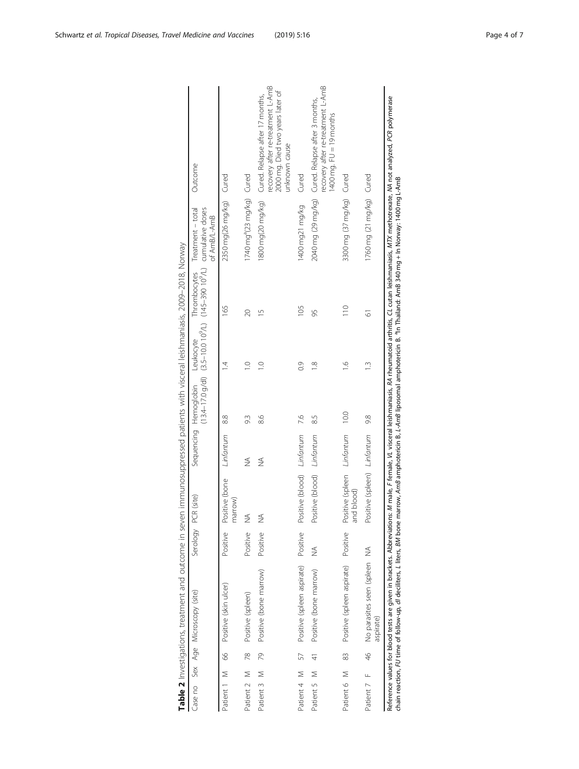<span id="page-3-0"></span>

|             |              |               | Table 2 Investigations, treatment and outcome in seven immunosuppressed patients with visceral leishmaniasis, 2009-2018, Norway                                                                                                |          |                                          |               |                                 |                         |                |                                                                                                                                                |                                                                                                                                                                                                                        |
|-------------|--------------|---------------|--------------------------------------------------------------------------------------------------------------------------------------------------------------------------------------------------------------------------------|----------|------------------------------------------|---------------|---------------------------------|-------------------------|----------------|------------------------------------------------------------------------------------------------------------------------------------------------|------------------------------------------------------------------------------------------------------------------------------------------------------------------------------------------------------------------------|
| Case no     |              |               | Sex Age Microscopy (site)                                                                                                                                                                                                      | Serology | PCR (site)                               |               | Sequencing Hemoglobin Leukocyte |                         |                | Thrombocytes Treatment - total<br>(13.4-17.0 g/dl) (3.5-10.0 10 <sup>9</sup> /L) (145-390 10 <sup>9</sup> /L) cumulative doses<br>of AmB/L-AmB | Outcome                                                                                                                                                                                                                |
| Patient 1   | <sup>z</sup> | 8             | Positive (skin ulcer)                                                                                                                                                                                                          | Positive | Positive (bone<br>marrow)                | L.infantum    | 8.8                             | $\bar{4}$               | 165            | 2350 mg (26 mg/kg)                                                                                                                             | Cured                                                                                                                                                                                                                  |
| Patient 2 M |              | 78            | Positive (spleen)                                                                                                                                                                                                              | Positive | ≸                                        | ≸             | 93                              | $\overline{C}$          | $\approx$      | $1740 \text{ mg}^4(23 \text{ mg/kg})$ Cured                                                                                                    |                                                                                                                                                                                                                        |
| Patient 3 M |              | R             | Positive (bone marrow)                                                                                                                                                                                                         | Positive | ≸                                        | $\frac{1}{2}$ | 8.6                             | $\supseteq$             | $\frac{5}{1}$  | 1800 mg(20 mg/kg)                                                                                                                              | recovery after re-treatment L-AmB<br>2000 mg. Died two years later of<br>Cured. Relapse after 17 months,<br>unknown cause                                                                                              |
| Patient 4 M |              | 57            | Positive (spleen aspirate) Positive                                                                                                                                                                                            |          | Positive (blood) Linfantum               |               | 7.6                             | $\overline{0}$          | 105            | 1400 mg21 mg/kg                                                                                                                                | Cured                                                                                                                                                                                                                  |
| Patient 5 M |              |               | Positive (bone marrow)                                                                                                                                                                                                         | ≸        | Positive (blood) Linfantum               |               | 58                              | $\frac{\infty}{\infty}$ | 95             |                                                                                                                                                | recovery after re-treatment L-AmB<br>2040 mg (29 mg/kg) Cured. Relapse after 3 months,<br>1400 mg. $FU = 19$ months                                                                                                    |
| Patient 6 M |              | 33            | Positive (spleen aspirate)                                                                                                                                                                                                     | Positive | Positive (spleen Linfantum<br>and blood) |               | 10.0                            | $\frac{6}{1}$           | $\frac{1}{10}$ | 3300 mg (37 mg/kg) Cured                                                                                                                       |                                                                                                                                                                                                                        |
| Patient 7 F |              | $\frac{4}{6}$ | No parasites seen (spleen NA<br>aspirate)                                                                                                                                                                                      |          | Positive (spleen) Linfantum              |               | 9.8                             | $\frac{3}{2}$           | 5              | 1760 mg (21 mg/kg) Cured                                                                                                                       |                                                                                                                                                                                                                        |
|             |              |               | one is the collection of the part part from any deep conclusion of deep interest on the location of any deep in the deep in the deep in the location of the production of the production of the contraction of the contract of |          |                                          |               |                                 |                         |                |                                                                                                                                                | Reference values for blood tests are given in brackets. Abbreviations: M male, F female, VL visceral leishmaniasis, RA rheumatoid arthritis, CL cutan leishmaniasis, MTX methotrexate, MA not analyzed, PCR polymerase |

340 mg + In Norway: 1400 mg L-AmB chain reaction, FU time of follow-up, dl deciliters, L liters, BM bone marrow, AmB amphotericin B, L-AmB liposomal amphotericin B. aIn Thailand: AmB 340 mg + In Norway: 1400 mg L-AmB AmB 3 Thailand: -<br>⊇ .<br>có amphotericin liposomal marrow, AmB amphotericin B, L-AmB bone chain reaction, FU time of follow-up, dl deciliters, L liters, BM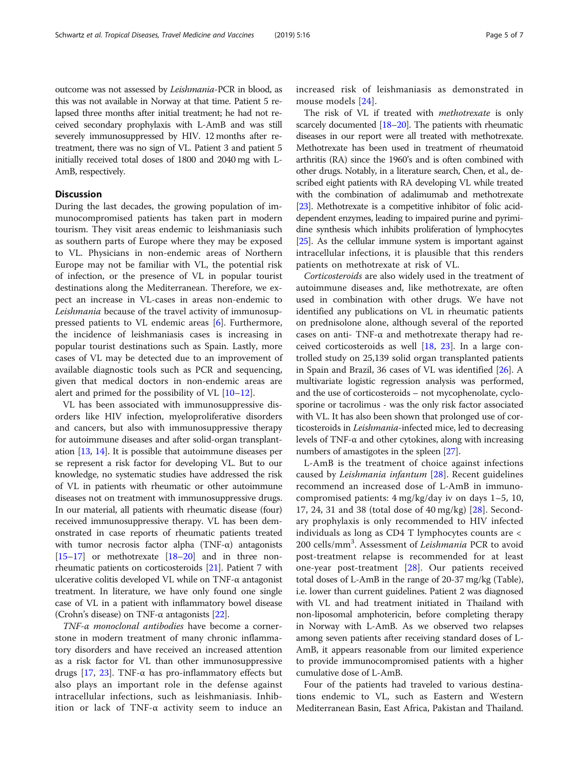outcome was not assessed by Leishmania-PCR in blood, as this was not available in Norway at that time. Patient 5 relapsed three months after initial treatment; he had not received secondary prophylaxis with L-AmB and was still severely immunosuppressed by HIV. 12 months after retreatment, there was no sign of VL. Patient 3 and patient 5 initially received total doses of 1800 and 2040 mg with L-AmB, respectively.

## **Discussion**

During the last decades, the growing population of immunocompromised patients has taken part in modern tourism. They visit areas endemic to leishmaniasis such as southern parts of Europe where they may be exposed to VL. Physicians in non-endemic areas of Northern Europe may not be familiar with VL, the potential risk of infection, or the presence of VL in popular tourist destinations along the Mediterranean. Therefore, we expect an increase in VL-cases in areas non-endemic to Leishmania because of the travel activity of immunosuppressed patients to VL endemic areas [\[6](#page-5-0)]. Furthermore, the incidence of leishmaniasis cases is increasing in popular tourist destinations such as Spain. Lastly, more cases of VL may be detected due to an improvement of available diagnostic tools such as PCR and sequencing, given that medical doctors in non-endemic areas are alert and primed for the possibility of VL [\[10](#page-5-0)–[12](#page-5-0)].

VL has been associated with immunosuppressive disorders like HIV infection, myeloproliferative disorders and cancers, but also with immunosuppressive therapy for autoimmune diseases and after solid-organ transplantation [\[13,](#page-5-0) [14\]](#page-5-0). It is possible that autoimmune diseases per se represent a risk factor for developing VL. But to our knowledge, no systematic studies have addressed the risk of VL in patients with rheumatic or other autoimmune diseases not on treatment with immunosuppressive drugs. In our material, all patients with rheumatic disease (four) received immunosuppressive therapy. VL has been demonstrated in case reports of rheumatic patients treated with tumor necrosis factor alpha  $(TNF-\alpha)$  antagonists [[15](#page-5-0)–[17\]](#page-5-0) or methotrexate [\[18](#page-5-0)–[20](#page-6-0)] and in three nonrheumatic patients on corticosteroids [[21\]](#page-6-0). Patient 7 with ulcerative colitis developed VL while on TNF-α antagonist treatment. In literature, we have only found one single case of VL in a patient with inflammatory bowel disease (Crohn's disease) on TNF-α antagonists [\[22\]](#page-6-0).

TNF-α monoclonal antibodies have become a cornerstone in modern treatment of many chronic inflammatory disorders and have received an increased attention as a risk factor for VL than other immunosuppressive drugs [\[17](#page-5-0), [23](#page-6-0)]. TNF-α has pro-inflammatory effects but also plays an important role in the defense against intracellular infections, such as leishmaniasis. Inhibition or lack of TNF-α activity seem to induce an increased risk of leishmaniasis as demonstrated in mouse models [[24](#page-6-0)].

The risk of VL if treated with *methotrexate* is only scarcely documented [\[18](#page-5-0)–[20\]](#page-6-0). The patients with rheumatic diseases in our report were all treated with methotrexate. Methotrexate has been used in treatment of rheumatoid arthritis (RA) since the 1960's and is often combined with other drugs. Notably, in a literature search, Chen, et al., described eight patients with RA developing VL while treated with the combination of adalimumab and methotrexate [[23](#page-6-0)]. Methotrexate is a competitive inhibitor of folic aciddependent enzymes, leading to impaired purine and pyrimidine synthesis which inhibits proliferation of lymphocytes [[25](#page-6-0)]. As the cellular immune system is important against intracellular infections, it is plausible that this renders patients on methotrexate at risk of VL.

Corticosteroids are also widely used in the treatment of autoimmune diseases and, like methotrexate, are often used in combination with other drugs. We have not identified any publications on VL in rheumatic patients on prednisolone alone, although several of the reported cases on anti- TNF- $\alpha$  and methotrexate therapy had received corticosteroids as well [[18,](#page-5-0) [23](#page-6-0)]. In a large controlled study on 25,139 solid organ transplanted patients in Spain and Brazil, 36 cases of VL was identified [\[26](#page-6-0)]. A multivariate logistic regression analysis was performed, and the use of corticosteroids – not mycophenolate, cyclosporine or tacrolimus - was the only risk factor associated with VL. It has also been shown that prolonged use of corticosteroids in Leishmania-infected mice, led to decreasing levels of TNF-α and other cytokines, along with increasing numbers of amastigotes in the spleen [\[27\]](#page-6-0).

L-AmB is the treatment of choice against infections caused by Leishmania infantum [\[28](#page-6-0)]. Recent guidelines recommend an increased dose of L-AmB in immunocompromised patients: 4 mg/kg/day iv on days 1–5, 10, 17, 24, 31 and 38 (total dose of 40 mg/kg) [\[28](#page-6-0)]. Secondary prophylaxis is only recommended to HIV infected individuals as long as CD4 T lymphocytes counts are < 200 cells/mm<sup>3</sup>. Assessment of Leishmania PCR to avoid post-treatment relapse is recommended for at least one-year post-treatment [\[28](#page-6-0)]. Our patients received total doses of L-AmB in the range of 20-37 mg/kg (Table), i.e. lower than current guidelines. Patient 2 was diagnosed with VL and had treatment initiated in Thailand with non-liposomal amphotericin, before completing therapy in Norway with L-AmB. As we observed two relapses among seven patients after receiving standard doses of L-AmB, it appears reasonable from our limited experience to provide immunocompromised patients with a higher cumulative dose of L-AmB.

Four of the patients had traveled to various destinations endemic to VL, such as Eastern and Western Mediterranean Basin, East Africa, Pakistan and Thailand.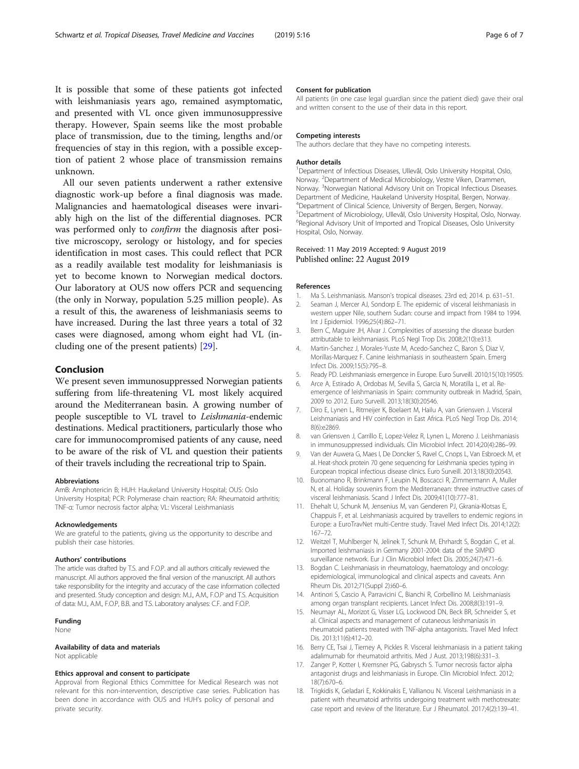<span id="page-5-0"></span>It is possible that some of these patients got infected with leishmaniasis years ago, remained asymptomatic, and presented with VL once given immunosuppressive therapy. However, Spain seems like the most probable place of transmission, due to the timing, lengths and/or frequencies of stay in this region, with a possible exception of patient 2 whose place of transmission remains unknown.

All our seven patients underwent a rather extensive diagnostic work-up before a final diagnosis was made. Malignancies and haematological diseases were invariably high on the list of the differential diagnoses. PCR was performed only to *confirm* the diagnosis after positive microscopy, serology or histology, and for species identification in most cases. This could reflect that PCR as a readily available test modality for leishmaniasis is yet to become known to Norwegian medical doctors. Our laboratory at OUS now offers PCR and sequencing (the only in Norway, population 5.25 million people). As a result of this, the awareness of leishmaniasis seems to have increased. During the last three years a total of 32 cases were diagnosed, among whom eight had VL (including one of the present patients) [[29\]](#page-6-0).

#### Conclusion

We present seven immunosuppressed Norwegian patients suffering from life-threatening VL most likely acquired around the Mediterranean basin. A growing number of people susceptible to VL travel to Leishmania-endemic destinations. Medical practitioners, particularly those who care for immunocompromised patients of any cause, need to be aware of the risk of VL and question their patients of their travels including the recreational trip to Spain.

#### Abbreviations

AmB: Amphotericin B; HUH: Haukeland University Hospital; OUS: Oslo University Hospital; PCR: Polymerase chain reaction; RA: Rheumatoid arthritis; TNF-α: Tumor necrosis factor alpha; VL: Visceral Leishmaniasis

#### Acknowledgements

We are grateful to the patients, giving us the opportunity to describe and publish their case histories.

#### Authors' contributions

The article was drafted by T.S. and F.O.P. and all authors critically reviewed the manuscript. All authors approved the final version of the manuscript. All authors take responsibility for the integrity and accuracy of the case information collected and presented. Study conception and design: M.J., A.M., F.O.P and T.S. Acquisition of data: M.J., A.M., F.O.P, B.B. and T.S. Laboratory analyses: C.F. and F.O.P.

#### Funding

None

#### Availability of data and materials

Not applicable

#### Ethics approval and consent to participate

Approval from Regional Ethics Committee for Medical Research was not relevant for this non-intervention, descriptive case series. Publication has been done in accordance with OUS and HUH's policy of personal and private security.

#### Consent for publication

All patients (in one case legal guardian since the patient died) gave their oral and written consent to the use of their data in this report.

#### Competing interests

The authors declare that they have no competing interests.

#### Author details

<sup>1</sup> Department of Infectious Diseases, Ullevål, Oslo University Hospital, Oslo Norway. <sup>2</sup>Department of Medical Microbiology, Vestre Viken, Drammen, Norway. <sup>3</sup>Norwegian National Advisory Unit on Tropical Infectious Diseases Department of Medicine, Haukeland University Hospital, Bergen, Norway. 4 Department of Clinical Science, University of Bergen, Bergen, Norway. 5 Department of Microbiology, Ullevål, Oslo University Hospital, Oslo, Norway. <sup>6</sup>Regional Advisory Unit of Imported and Tropical Diseases, Oslo University Hospital, Oslo, Norway.

#### Received: 11 May 2019 Accepted: 9 August 2019 Published online: 22 August 2019

#### References

- 1. Ma S. Leishmaniasis. Manson's tropical diseases. 23rd ed; 2014. p. 631–51.
- 2. Seaman J, Mercer AJ, Sondorp E. The epidemic of visceral leishmaniasis in western upper Nile, southern Sudan: course and impact from 1984 to 1994. Int J Epidemiol. 1996;25(4):862–71.
- 3. Bern C, Maguire JH, Alvar J. Complexities of assessing the disease burden attributable to leishmaniasis. PLoS Negl Trop Dis. 2008;2(10):e313.
- 4. Martin-Sanchez J, Morales-Yuste M, Acedo-Sanchez C, Baron S, Diaz V, Morillas-Marquez F. Canine leishmaniasis in southeastern Spain. Emerg Infect Dis. 2009;15(5):795–8.
- 5. Ready PD. Leishmaniasis emergence in Europe. Euro Surveill. 2010;15(10):19505.
- 6. Arce A, Estirado A, Ordobas M, Sevilla S, Garcia N, Moratilla L, et al. Reemergence of leishmaniasis in Spain: community outbreak in Madrid, Spain, 2009 to 2012. Euro Surveill. 2013;18(30):20546.
- 7. Diro E, Lynen L, Ritmeijer K, Boelaert M, Hailu A, van Griensven J. Visceral Leishmaniasis and HIV coinfection in East Africa. PLoS Negl Trop Dis. 2014; 8(6):e2869.
- 8. van Griensven J, Carrillo E, Lopez-Velez R, Lynen L, Moreno J. Leishmaniasis in immunosuppressed individuals. Clin Microbiol Infect. 2014;20(4):286–99.
- Van der Auwera G, Maes I, De Doncker S, Ravel C, Cnops L, Van Esbroeck M, et al. Heat-shock protein 70 gene sequencing for Leishmania species typing in European tropical infectious disease clinics. Euro Surveill. 2013;18(30):20543.
- 10. Buonomano R, Brinkmann F, Leupin N, Boscacci R, Zimmermann A, Muller N, et al. Holiday souvenirs from the Mediterranean: three instructive cases of visceral leishmaniasis. Scand J Infect Dis. 2009;41(10):777–81.
- 11. Ehehalt U, Schunk M, Jensenius M, van Genderen PJ, Gkrania-Klotsas E, Chappuis F, et al. Leishmaniasis acquired by travellers to endemic regions in Europe: a EuroTravNet multi-Centre study. Travel Med Infect Dis. 2014;12(2): 167–72.
- 12. Weitzel T, Muhlberger N, Jelinek T, Schunk M, Ehrhardt S, Bogdan C, et al. Imported leishmaniasis in Germany 2001-2004: data of the SIMPID surveillance network. Eur J Clin Microbiol Infect Dis. 2005;24(7):471–6.
- 13. Bogdan C. Leishmaniasis in rheumatology, haematology and oncology: epidemiological, immunological and clinical aspects and caveats. Ann Rheum Dis. 2012;71(Suppl 2):i60–6.
- 14. Antinori S, Cascio A, Parravicini C, Bianchi R, Corbellino M. Leishmaniasis among organ transplant recipients. Lancet Infect Dis. 2008;8(3):191–9.
- 15. Neumayr AL, Morizot G, Visser LG, Lockwood DN, Beck BR, Schneider S, et al. Clinical aspects and management of cutaneous leishmaniasis in rheumatoid patients treated with TNF-alpha antagonists. Travel Med Infect Dis. 2013;11(6):412–20.
- 16. Berry CE, Tsai J, Tierney A, Pickles R. Visceral leishmaniasis in a patient taking adalimumab for rheumatoid arthritis. Med J Aust. 2013;198(6):331–3.
- 17. Zanger P, Kotter I, Kremsner PG, Gabrysch S. Tumor necrosis factor alpha antagonist drugs and leishmaniasis in Europe. Clin Microbiol Infect. 2012; 18(7):670–6.
- 18. Trigkidis K, Geladari E, Kokkinakis E, Vallianou N. Visceral Leishmaniasis in a patient with rheumatoid arthritis undergoing treatment with methotrexate: case report and review of the literature. Eur J Rheumatol. 2017;4(2):139–41.